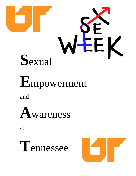

# **E**mpowerment

and



at

**T**ennessee

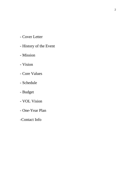- Cover Letter
- History of the Event
- Mission
- Vision
- Core Values
- Schedule
- Budget
- VOL Vision
- One-Year Plan
- -Contact Info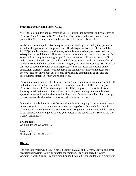## **Students, Faculty, and Staff of UTK!**

We're the co-founders and co-chairs of SEAT (Sexual Empowerment and Awareness at Tennessee) and Sex Week. SEAT is the student organization that will organize and present Sex Week each year at The University of Tennessee, Knoxville.

We believe in a comprehensive, sex-positive understanding of sexuality that promotes sexual health, pleasure, and empowerment. The dialogue we hope to cultivate will be LGBTQ-friendly, relevant to a wide array of audiences, medically accurate, held in a safe-space, and enlightening. The event does not presume everyone is having sex, so Sex Week will include programming for people who are not sexually active. SEAT will address issues of gender, sex, sexuality, and all the aspects of our lives that are affected by these issues, including culture, politics, religion, and even the economy. SEAT will be sensitive to sexual discourse within larger issues. Sex has historically been a site of oppression; therefore, discussions about sex and sexuality are important because they involve ideas not only about our personal physical and emotional lives but also the sociocultural context in which we're immersed.

This annual week-long event will foster ongoing, open, and productive dialogue and will add to the value of student life and the co-curricular education at The University of Tennessee, Knoxville. The week-long event will be composed of a variety of events focusing on education and entertainment, including basic tabling, seminars, keynote speakers, talent and fashion shows, and a film series. These events will explore concepts of love, gender identity, relationships, sexual orientation, and sex.

Our end-all goal is that everyone feels comfortable attending any of our events and each person leaves having a comprehensive understanding of sexuality, including health, pleasure, and empowerment. We look forward to bringing an urgently needed discussion to our campus and inviting you to lend your voices to the conversation! See you the first week of April 2013!

Brianna Rader Co-Founder and Co-Chair '12

Jacob Clark Co-Founder and Co-Chair '12

### **History:**

The first Sex Week was held at Yale University in 2002, and Harvard, Brown, and other prestigious universities quickly adopted the tradition. Ten years later, the Issues Committee of the Central Programming Council brought Megan Andelloux, a prominent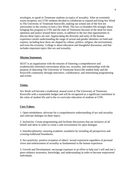sexologist, to speak to Tennessee students on topics of sexuality. After an extremely warm reception, two UTK students decided to collaborate to expand and bring Sex Week to The University of Tennessee Knoxville, making our school one of the first ten universities in the country to host a Sex Week. The two co-founders felt strongly about bringing this program to UTK and the state of Tennessee because of the need for more openness and justice around these issues, in addition to the fact that opportunities to discuss these topics are rare. Appreciating the diversity and unity of the human experience entails understanding the range of sexual and gender identities we hold and express, including how these are shaped by culture, politics, religion, the environment, and even the economy. College is about education and thoughtful discussion, and that includes important topics like sex and sexuality.

#### **Mission Statement:**

SEAT is an organization with the mission of fostering a comprehensive and academically-informed conversation about sex, sexuality, and relationships with the purpose of educating The University of Tennessee Knoxville student body and the Knoxville community through innovative, collaborative, and entertaining programming and events.

#### **Vision:**

Sex Week will become a traditional, annual event at The University of Tennessee Knoxville with a sustainable budget and will be recognized as a significant contributor to the value of student life and to the co-curricular education of students at UTK.

### **Core Values:**

1. Open-mindedness: advocate for a comprehensive understanding of sex and sexuality and cultivate dialogue on these topics.

2. Inclusivity: Create programming and facilitate discussions that are inclusive of all beliefs and ideas in order to create a safe environment for open dialogue.

3. Interdisciplinarity: ensuring academic soundness by including all perspectives and crossing traditional boundaries.

4. Sex-positivity: positive reception of others' sexual expression regardless of personal views and embracement of sexuality as fundamental to the human experience

5. Growth and Development: encourage exposure in an effort to help one's self and one's peers enhance awareness, knowledge, and understanding in order to become empowered individuals.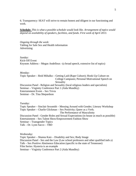6. Transparency: SEAT will strive to remain honest and diligent in our functioning and work.

**Schedule:** *This is what a possible schedule would look like. Arrangement of topics would depend on availability of speakers, facilities, and funds. First week of April 2013.* 

*Ongoing through the week:*  Tabling for Safe Sex and Health information Advertising

*Sunday*: Kick-Off Event Keynote Address – Megan Andelloux –(a broad speech, extensive list of topics)

#### *Monday*:

Topic Speaker – Reid Mihalko – Getting Laid (Rape Culture); Hook-Up Culture on College Campuses; Personal Motivational Speech on Sexuality

Discussion Panel - Religion and Sexuality (local religious leaders and specialists) Seminar – Virginity Conference Part 1 (Aida Mundley) Entertainment Event – Sex Trivia Seminar – Dr. Tina Shepardson

*Tuesday*:

Topic Speaker – Sinclair Sexsmith – Messing Around with Gender; Literary Workshop Topic Speaker – Charlie Glickman – Sex Positivity; Queer as a Verb; The Performance of Masculinity Discussion Panel - Gender Roles and Sexual Expectations (in house as much as possible) Entertainment – Sex Talent Show/Empowerment Fashion Show Seminar – Transgender Topics Talk – Dr. Lynn Sacco – TBD

*Wednesday*:

Topic Speaker – Shanna Katz – Disability and Sex; Body Image Discussion Panel - Sex and the Law (Law school professors and other qualified indv.s) Talk – Sex Positive Abstinence Education (specific to the state of Tennessee) Film Series: Hysteria is an example Seminar – Virginity Conference Part 2 (Aida Mundley)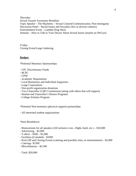*Thursday*: Sexual Assault Awareness Breakfast Topic Speaker - The Mayhems – Sexual Consent/Communication; Non-monogamy Discussion Panel – Racial Issues and Sexuality (Sex in diverse cultures) Entertainment Event – Lambda Drag Show Seminar – How to Talk to Your Doctor About Sexual Issues (maybe an Ob/Gyn)

*Friday*: Closing Event/Large Gathering

# **Budget:**

\*Potential Monetary Sponsorships:

- CPC Discretionary Funds
- BCPC
- UPSF
- Academic Departments
- Local Businesses and Individual Supporters
- Large Corporations
- Non-profit organization donations
- Vice-Chancellor LGBT Commission (along with others that will support)
- Haslam and Chancellor's Honors Programs
- College Scholars Program

\*Potential Non-monetary (physical support) partnerships

- All interested student organizations

\*Item Breakdown:

- Honorariums for all speakers (All inclusive cost—flight, hotel, etc.) \$10,000
- Advertising \$2,000
- $-$  T-shirts  $-$  \$500  $-$  \$1,000
- Facilities (if needed) \$1000
- Kick-Off and Closing Events (catering and possibly tents, or entertainment) \$2,000
- Catering– \$1500
- Miscellaneous \$2,500

- Total: \$20,000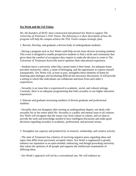## **Sex Week and the Vol Vision:**

*We, the founders of SEAT, have constructed and planned Sex Week to support The University of Tennessee's VOL Vision. The following is a short description of how the program will help the campus achieve the VOL Vision campus strategic plan.* 

1. Recruit, Develop, and graduate a diverse body of undergraduate students:

- Having a program such as Sex Week could help recruit more diverse incoming students. This event is designed to enable prospective students to find a niche and community that gives them the comfort of acceptance they require to make the decision to come to The University of Tennessee Knoxville and to optimize their educational experience.

- Students leave a university when they cannot make it their home. An adequate home provides inclusivity, safety, a sense of belonging, and the opportunity to express oneself transparently. Sex Week will, at least in part, strengthen these elements of home by fostering open dialogue and facilitating difficult but necessary discussions. It will provide a setting in which like individuals can collaborate and learn from each other's experiences.

- Sexuality is an issue that is experienced in academic, social, and cultural settings. Currently, there is no adequate programming that links sexuality to our higher education experience.

2. Educate and graduate increasing numbers of diverse graduate and professional students:

- Sexuality does not disappear after earning an undergraduate degree; one deals with sexuality his or her entire adult life. Sexuality is a public and mental issue in all cultures. Sex Week will recognize that the issues vary from culture to culture, and we plan to provide the tools and knowledge needed to have intelligent discussion and make good decisions regarding sexuality in academic, professional, and personal arenas.

3. Strengthen our capacity and productivity in research, scholarship, and creative activity:

- The state of Tennessee has a history of receiving negative press regarding ideas and topics that differ from previously accepted values. Sex Week is engineered to greatly enhance our reputation as an open-minded, embracing, and though-provoking university that values the opinions of all people and supports the intellectual examination of differing ideas.

- Sex Week's approach will not be a conventional one. We will embrace an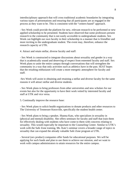interdisciplinary approach that will cross traditional academic boundaries by integrating various types of presentations and ensuring that all participants are as engaged in the process as they want to be. This is consistent with the "centers-based" approach.

- Sex Week could provide the platform for new, relevant research to be performed or new applied scholarship to be presented. Students have observed that some professors present research to the community that is not easily accessible to undergraduate students. Sex Week can highlight our own faculty in their scholarship in a manner that is friendlier and more inviting to the undergraduate student. The event may, therefore, enhance the research capacity at UTK.

4. Attract and retain stellar, diverse faculty and staff:

- Sex Week is constructed to integrate discussions about sexuality and gender in a way that is academically sound and deserving of respect from esteemed faculty and staff. Sex Week plans to unite the entire campus through conversations that will strengthen the community in a way that only activities such as athletics have in the past. SEAT hopes that the resulting enthusiasm will create a more energetic atmosphere for faculty and staff.

-Sex Week will assist in obtaining and retaining a stellar and diverse faculty for the same reasons it will attract stellar and diverse students.

- Sex Week plans to bring professors from other universities and new scholars for our events but also for the opportunity to have their work vetted by interested faculty and staff at UTK and vice versa.

5. Continually improve the resource base:

- Sex Week plans to solicit health organizations to donate products and other resources to The University of Tennessee Knoxville, specifically the student health center.

- Sex Week plans to bring a speaker, Shanna Katz, who specializes in sexuality in (physical and mental) disability. She offers seminars for faculty and staff that train them for effectively dealing with students who have come to them with concerns relating to sexuality. This would especially be important to the Counseling Center. Similar to UTK's work with the Safe Zone training, Ms. Katz's seminar covers a broader range of topics in sexuality that can expand the already valuable Safe Zone program at UTK.

- Several (sex product) companies offer funds for educational purposes. We will be applying for such funds and plan to use them to achieve our mission, and we want to work with campus administrators to attain resources for the entire campus.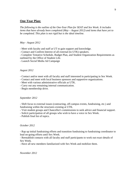# **One-Year Plan:**

*The following is the outline of the One-Year Plan for SEAT and Sex Week. It includes items that have already been completed (May – August 2012) and items that have yet to be completed. This plan is not rigid but is the ideal timeline.* 

### *May - August 2012*

- Meet with faculty and staff at UT to gain support and knowledge.

- Contact and Confirm Interest of all external (to UTK) speakers.

- Complete Tentative Schedule, Budget Plan, and Student Organization Requirements as outlined by the Office of Student Life.

- Launch Social Media Ad Campaign

#### *August 2012*

- Contact and/or meet with all faculty and staff interested in participating in Sex Week.

- Contact and meet with local business sponsors and supportive organizations.

- Meet with various administrative officials at UTK.

- Carry out any remaining internal communication.

- Begin membership drive.

#### *September 2012*

- Shift focus to external issues (contracting, off-campus events, fundraising, etc.) and fundraising within the structures existing at UTK.

- Visit student groups and Chancellor's commissions to seek advice and financial support.

- Solicit participation of all groups who wish to have a voice in Sex Week.

- Publish final list of topics.

#### *October 2012*

- Rap up initial fundraising efforts and transition fundraising to fundraising coordinator to lead on-going efforts until Sex Week.

- Reestablish contacts with all faculty and staff participants to work out exact details of Sex Week.

- Have all new members familiarized with Sex Week and mobilize them.

*November 2012*